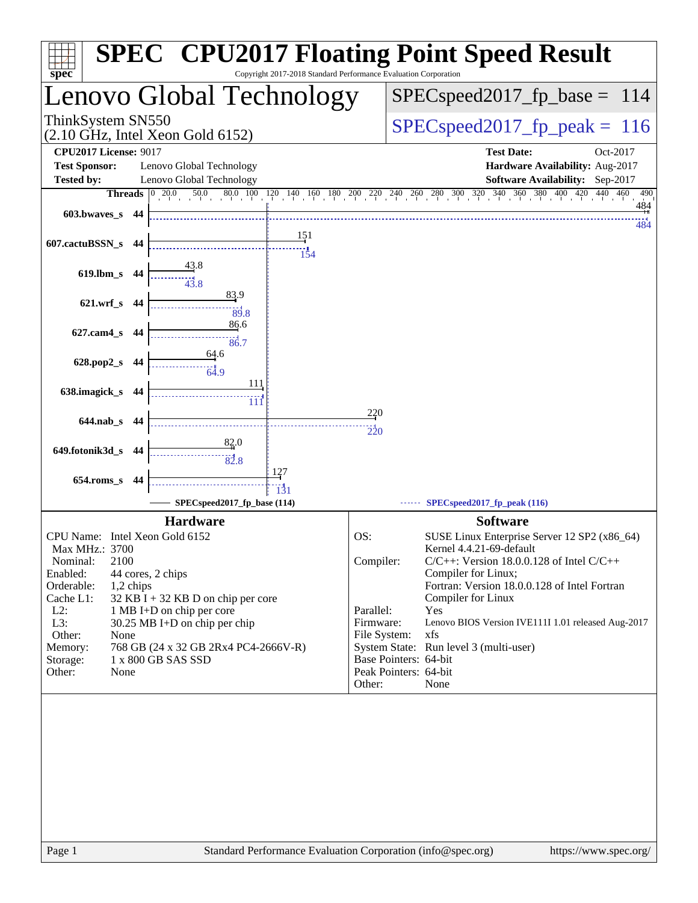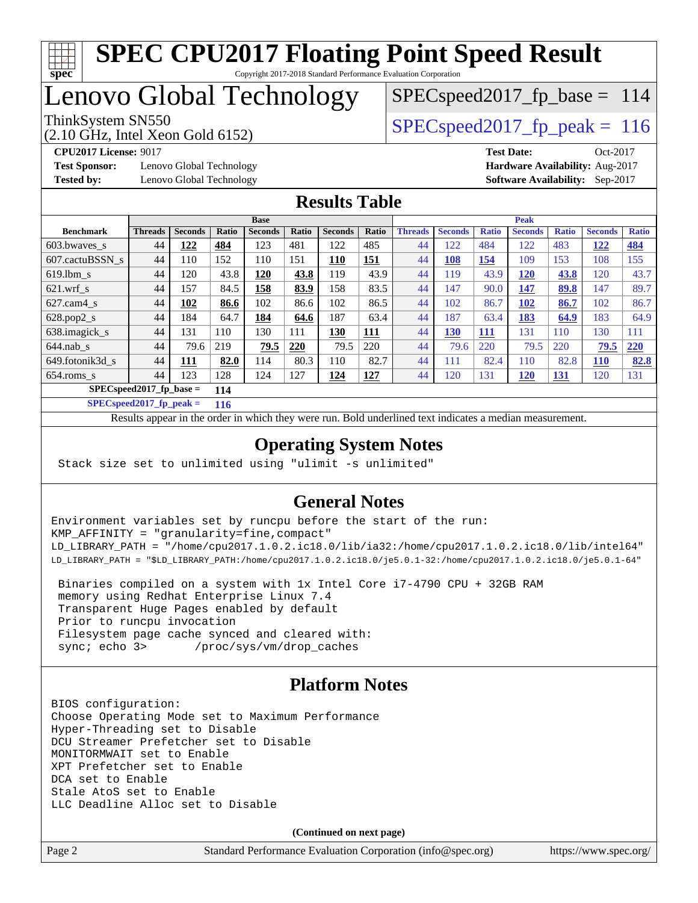

# Lenovo Global Technology

SPECspeed2017 fp base =  $114$ 

(2.10 GHz, Intel Xeon Gold 6152)

ThinkSystem SN550  $SPEC speed2017$  fp\_peak = 116

**[Test Sponsor:](http://www.spec.org/auto/cpu2017/Docs/result-fields.html#TestSponsor)** Lenovo Global Technology **[Hardware Availability:](http://www.spec.org/auto/cpu2017/Docs/result-fields.html#HardwareAvailability)** Aug-2017 **[Tested by:](http://www.spec.org/auto/cpu2017/Docs/result-fields.html#Testedby)** Lenovo Global Technology **[Software Availability:](http://www.spec.org/auto/cpu2017/Docs/result-fields.html#SoftwareAvailability)** Sep-2017

**[CPU2017 License:](http://www.spec.org/auto/cpu2017/Docs/result-fields.html#CPU2017License)** 9017 **[Test Date:](http://www.spec.org/auto/cpu2017/Docs/result-fields.html#TestDate)** Oct-2017

## **[Results Table](http://www.spec.org/auto/cpu2017/Docs/result-fields.html#ResultsTable)**

|                                   | <b>Base</b>    |                |       |                |       | <b>Peak</b>    |            |                |                |              |                |              |                |              |
|-----------------------------------|----------------|----------------|-------|----------------|-------|----------------|------------|----------------|----------------|--------------|----------------|--------------|----------------|--------------|
| <b>Benchmark</b>                  | <b>Threads</b> | <b>Seconds</b> | Ratio | <b>Seconds</b> | Ratio | <b>Seconds</b> | Ratio      | <b>Threads</b> | <b>Seconds</b> | <b>Ratio</b> | <b>Seconds</b> | <b>Ratio</b> | <b>Seconds</b> | <b>Ratio</b> |
| 603.bwayes_s                      | 44             | 122            | 484   | 123            | 481   | 122            | 485        | 44             | 122            | 484          | 122            | 483          | <u>122</u>     | <u>484</u>   |
| 607.cactuBSSN s                   | 44             | 110            | 152   | 110            | 151   | <u>110</u>     | <b>151</b> | 44             | <b>108</b>     | <b>154</b>   | 109            | 153          | 108            | 155          |
| $619.1$ bm s                      | 44             | 120            | 43.8  | 120            | 43.8  | 119            | 43.9       | 44             | 119            | 43.9         | <b>120</b>     | 43.8         | 120            | 43.7         |
| $621$ .wrf s                      | 44             | 157            | 84.5  | 158            | 83.9  | 158            | 83.5       | 44             | 147            | 90.0         | 147            | 89.8         | 147            | 89.7         |
| $627$ .cam4 s                     | 44             | 102            | 86.6  | 102            | 86.6  | 102            | 86.5       | 44             | 102            | 86.7         | 102            | 86.7         | 102            | 86.7         |
| $628.pop2_s$                      | 44             | 184            | 64.7  | 184            | 64.6  | 187            | 63.4       | 44             | 187            | 63.4         | 183            | 64.9         | 183            | 64.9         |
| 638.imagick_s                     | 44             | 131            | 110   | 130            | 111   | 130            | <b>111</b> | 44             | <b>130</b>     | <b>111</b>   | 131            | 110          | 130            | 111          |
| $644$ .nab s                      | 44             | 79.6           | 219   | 79.5           | 220   | 79.5           | 220        | 44             | 79.6           | 220          | 79.5           | 220          | 79.5           | 220          |
| 649.fotonik3d s                   | 44             | 111            | 82.0  | 114            | 80.3  | 110            | 82.7       | 44             | 111            | 82.4         | 110            | 82.8         | <b>110</b>     | 82.8         |
| $654$ .roms s                     | 44             | 123            | 128   | 124            | 127   | 124            | 127        | 44             | 120            | 131          | <u>120</u>     | <u>131</u>   | 120            | 131          |
| $SPEC speed2017$ fp base =<br>114 |                |                |       |                |       |                |            |                |                |              |                |              |                |              |

**[SPECspeed2017\\_fp\\_peak =](http://www.spec.org/auto/cpu2017/Docs/result-fields.html#SPECspeed2017fppeak) 116**

Results appear in the [order in which they were run.](http://www.spec.org/auto/cpu2017/Docs/result-fields.html#RunOrder) Bold underlined text [indicates a median measurement](http://www.spec.org/auto/cpu2017/Docs/result-fields.html#Median).

## **[Operating System Notes](http://www.spec.org/auto/cpu2017/Docs/result-fields.html#OperatingSystemNotes)**

Stack size set to unlimited using "ulimit -s unlimited"

## **[General Notes](http://www.spec.org/auto/cpu2017/Docs/result-fields.html#GeneralNotes)**

Environment variables set by runcpu before the start of the run: KMP\_AFFINITY = "granularity=fine,compact" LD\_LIBRARY\_PATH = "/home/cpu2017.1.0.2.ic18.0/lib/ia32:/home/cpu2017.1.0.2.ic18.0/lib/intel64" LD\_LIBRARY\_PATH = "\$LD\_LIBRARY\_PATH:/home/cpu2017.1.0.2.ic18.0/je5.0.1-32:/home/cpu2017.1.0.2.ic18.0/je5.0.1-64"

 Binaries compiled on a system with 1x Intel Core i7-4790 CPU + 32GB RAM memory using Redhat Enterprise Linux 7.4 Transparent Huge Pages enabled by default Prior to runcpu invocation Filesystem page cache synced and cleared with: sync; echo 3> /proc/sys/vm/drop\_caches

## **[Platform Notes](http://www.spec.org/auto/cpu2017/Docs/result-fields.html#PlatformNotes)**

BIOS configuration: Choose Operating Mode set to Maximum Performance Hyper-Threading set to Disable DCU Streamer Prefetcher set to Disable MONITORMWAIT set to Enable XPT Prefetcher set to Enable DCA set to Enable Stale AtoS set to Enable LLC Deadline Alloc set to Disable

**(Continued on next page)**

Page 2 Standard Performance Evaluation Corporation [\(info@spec.org\)](mailto:info@spec.org) <https://www.spec.org/>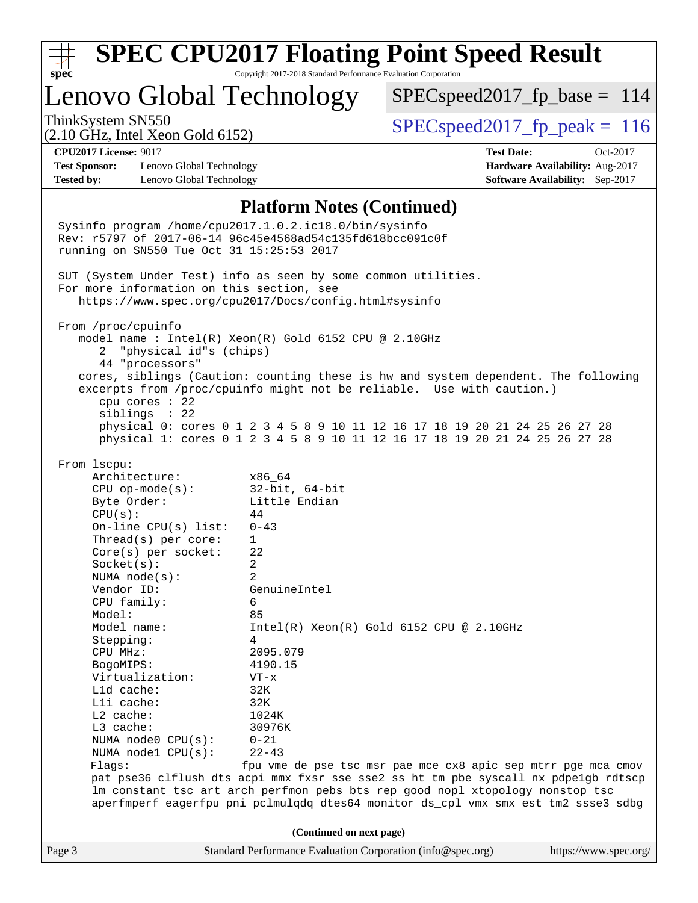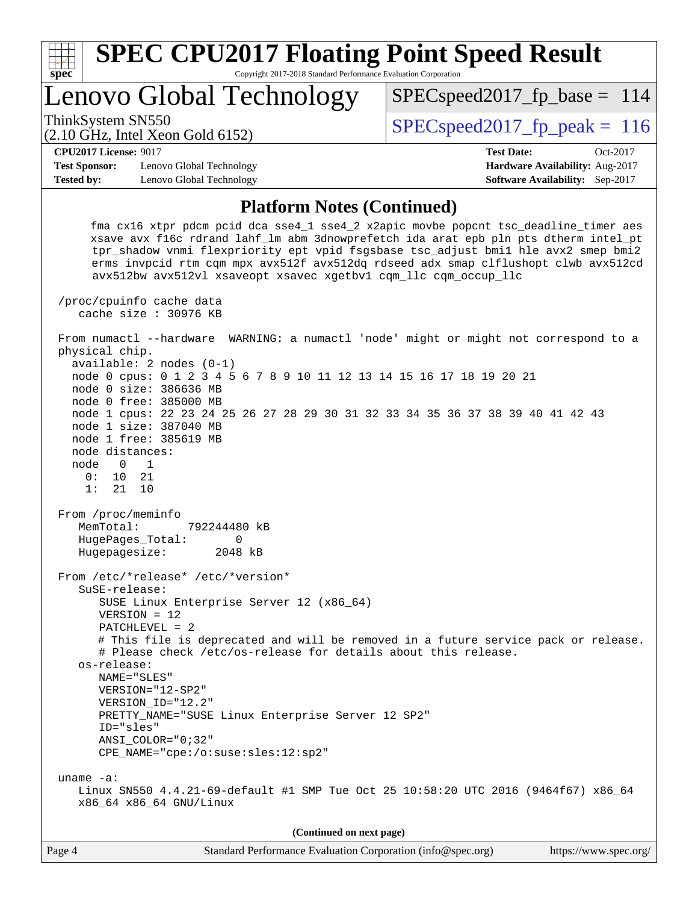

VERSION = 12

NAME="SLES"

 PATCHLEVEL = 2 # This file is deprecated and will be removed in a future service pack or release. # Please check /etc/os-release for details about this release. os-release:

 VERSION="12-SP2" VERSION\_ID="12.2" PRETTY\_NAME="SUSE Linux Enterprise Server 12 SP2" ID="sles" ANSI\_COLOR="0;32" CPE\_NAME="cpe:/o:suse:sles:12:sp2"

 uname -a: Linux SN550 4.4.21-69-default #1 SMP Tue Oct 25 10:58:20 UTC 2016 (9464f67) x86\_64 x86\_64 x86\_64 GNU/Linux

**(Continued on next page)**

| Page 4 | Standard Performance Evaluation Corporation (info@spec.org) | https://www.spec.org/ |
|--------|-------------------------------------------------------------|-----------------------|
|        |                                                             |                       |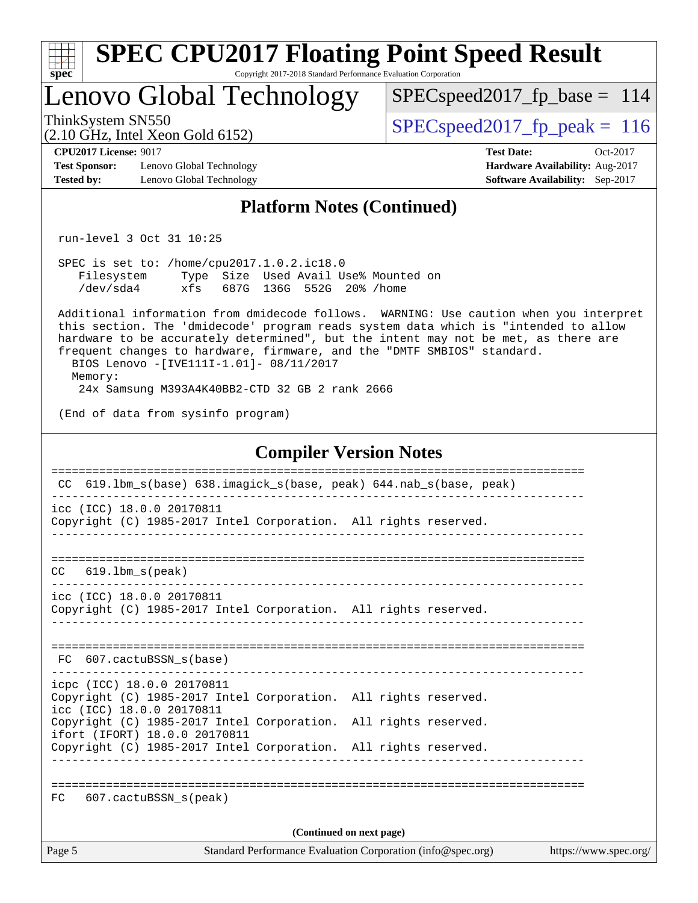| <b>SPEC CPU2017 Floating Point Speed Result</b><br>spec <sup>®</sup><br>Copyright 2017-2018 Standard Performance Evaluation Corporation                                                                                                                                                                                                                                                              |                                                                                                            |
|------------------------------------------------------------------------------------------------------------------------------------------------------------------------------------------------------------------------------------------------------------------------------------------------------------------------------------------------------------------------------------------------------|------------------------------------------------------------------------------------------------------------|
| Lenovo Global Technology                                                                                                                                                                                                                                                                                                                                                                             | $SPEC speed2017_fp\_base = 114$                                                                            |
| ThinkSystem SN550<br>$(2.10 \text{ GHz}, \text{Intel Xeon Gold } 6152)$                                                                                                                                                                                                                                                                                                                              | $SPEC speed2017_fp\_peak = 116$                                                                            |
| <b>CPU2017 License: 9017</b><br><b>Test Sponsor:</b><br>Lenovo Global Technology<br><b>Tested by:</b><br>Lenovo Global Technology                                                                                                                                                                                                                                                                    | <b>Test Date:</b><br>Oct-2017<br>Hardware Availability: Aug-2017<br><b>Software Availability:</b> Sep-2017 |
| <b>Platform Notes (Continued)</b>                                                                                                                                                                                                                                                                                                                                                                    |                                                                                                            |
| run-level 3 Oct 31 10:25                                                                                                                                                                                                                                                                                                                                                                             |                                                                                                            |
| SPEC is set to: /home/cpu2017.1.0.2.ic18.0<br>Filesystem Type Size Used Avail Use% Mounted on<br>xfs 687G 136G 552G 20% / home<br>/dev/sda4                                                                                                                                                                                                                                                          |                                                                                                            |
| Additional information from dmidecode follows. WARNING: Use caution when you interpret<br>this section. The 'dmidecode' program reads system data which is "intended to allow<br>hardware to be accurately determined", but the intent may not be met, as there are<br>frequent changes to hardware, firmware, and the "DMTF SMBIOS" standard.<br>BIOS Lenovo -[IVE111I-1.01]- 08/11/2017<br>Memory: |                                                                                                            |
| 24x Samsung M393A4K40BB2-CTD 32 GB 2 rank 2666                                                                                                                                                                                                                                                                                                                                                       |                                                                                                            |
| (End of data from sysinfo program)                                                                                                                                                                                                                                                                                                                                                                   |                                                                                                            |
| <b>Compiler Version Notes</b>                                                                                                                                                                                                                                                                                                                                                                        |                                                                                                            |
| CC 619.1bm_s(base) 638.imagick_s(base, peak) 644.nab_s(base, peak)                                                                                                                                                                                                                                                                                                                                   |                                                                                                            |
| icc (ICC) 18.0.0 20170811<br>Copyright (C) 1985-2017 Intel Corporation. All rights reserved.                                                                                                                                                                                                                                                                                                         |                                                                                                            |
| $619.1$ bm s(peak)<br>CC.                                                                                                                                                                                                                                                                                                                                                                            |                                                                                                            |
| icc (ICC) 18.0.0 20170811<br>Copyright (C) 1985-2017 Intel Corporation. All rights reserved.                                                                                                                                                                                                                                                                                                         |                                                                                                            |
| FC 607.cactuBSSN_s(base)                                                                                                                                                                                                                                                                                                                                                                             |                                                                                                            |
| icpc (ICC) 18.0.0 20170811<br>Copyright (C) 1985-2017 Intel Corporation. All rights reserved.<br>icc (ICC) 18.0.0 20170811                                                                                                                                                                                                                                                                           |                                                                                                            |
| Copyright (C) 1985-2017 Intel Corporation. All rights reserved.<br>ifort (IFORT) 18.0.0 20170811<br>Copyright (C) 1985-2017 Intel Corporation. All rights reserved.                                                                                                                                                                                                                                  |                                                                                                            |
| 607.cactuBSSN_s(peak)<br>FC.                                                                                                                                                                                                                                                                                                                                                                         |                                                                                                            |
| (Continued on next page)                                                                                                                                                                                                                                                                                                                                                                             |                                                                                                            |
| Standard Performance Evaluation Corporation (info@spec.org)<br>Page 5                                                                                                                                                                                                                                                                                                                                | https://www.spec.org/                                                                                      |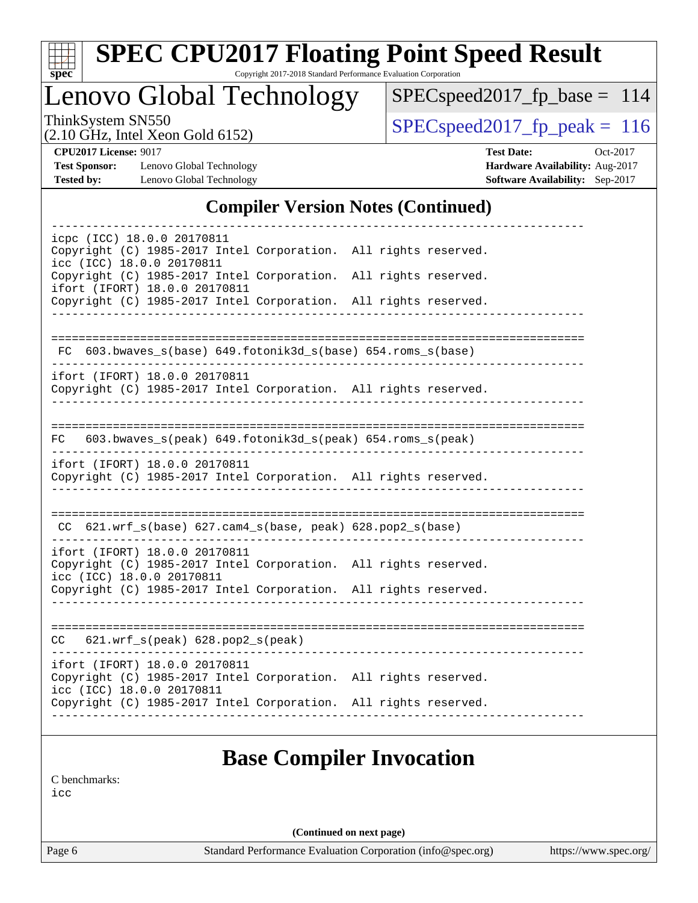

# **[SPEC CPU2017 Floating Point Speed Result](http://www.spec.org/auto/cpu2017/Docs/result-fields.html#SPECCPU2017FloatingPointSpeedResult)**

Copyright 2017-2018 Standard Performance Evaluation Corporation

Lenovo Global Technology

[SPECspeed2017\\_fp\\_base =](http://www.spec.org/auto/cpu2017/Docs/result-fields.html#SPECspeed2017fpbase) 114

(2.10 GHz, Intel Xeon Gold 6152)

 $SPEC speed2017_fp\_peak = 116$ 

**[Test Sponsor:](http://www.spec.org/auto/cpu2017/Docs/result-fields.html#TestSponsor)** Lenovo Global Technology **[Hardware Availability:](http://www.spec.org/auto/cpu2017/Docs/result-fields.html#HardwareAvailability)** Aug-2017 **[Tested by:](http://www.spec.org/auto/cpu2017/Docs/result-fields.html#Testedby)** Lenovo Global Technology **[Software Availability:](http://www.spec.org/auto/cpu2017/Docs/result-fields.html#SoftwareAvailability)** Sep-2017

**[CPU2017 License:](http://www.spec.org/auto/cpu2017/Docs/result-fields.html#CPU2017License)** 9017 **[Test Date:](http://www.spec.org/auto/cpu2017/Docs/result-fields.html#TestDate)** Oct-2017

## **[Compiler Version Notes \(Continued\)](http://www.spec.org/auto/cpu2017/Docs/result-fields.html#CompilerVersionNotes)**

| icpc (ICC) 18.0.0 20170811                                                                       |  |  |
|--------------------------------------------------------------------------------------------------|--|--|
| Copyright (C) 1985-2017 Intel Corporation. All rights reserved.<br>icc (ICC) 18.0.0 20170811     |  |  |
| Copyright (C) 1985-2017 Intel Corporation. All rights reserved.<br>ifort (IFORT) 18.0.0 20170811 |  |  |
| Copyright (C) 1985-2017 Intel Corporation. All rights reserved.                                  |  |  |
|                                                                                                  |  |  |
| FC 603.bwaves_s(base) 649.fotonik3d_s(base) 654.roms_s(base)                                     |  |  |
| ifort (IFORT) 18.0.0 20170811                                                                    |  |  |
| Copyright (C) 1985-2017 Intel Corporation. All rights reserved.                                  |  |  |
|                                                                                                  |  |  |
| 603.bwaves_s(peak) 649.fotonik3d_s(peak) 654.roms_s(peak)<br>FC.                                 |  |  |
| ifort (IFORT) 18.0.0 20170811                                                                    |  |  |
| Copyright (C) 1985-2017 Intel Corporation. All rights reserved.                                  |  |  |
|                                                                                                  |  |  |
| $CC$ 621.wrf_s(base) 627.cam4_s(base, peak) 628.pop2_s(base)                                     |  |  |
| ifort (IFORT) 18.0.0 20170811                                                                    |  |  |
| Copyright (C) 1985-2017 Intel Corporation. All rights reserved.<br>icc (ICC) 18.0.0 20170811     |  |  |
| Copyright (C) 1985-2017 Intel Corporation. All rights reserved.                                  |  |  |
|                                                                                                  |  |  |
| $CC$ 621.wrf $s(\text{peak})$ 628.pop2 $s(\text{peak})$                                          |  |  |
| ifort (IFORT) 18.0.0 20170811                                                                    |  |  |
| Copyright (C) 1985-2017 Intel Corporation. All rights reserved.<br>icc (ICC) 18.0.0 20170811     |  |  |
| Copyright (C) 1985-2017 Intel Corporation. All rights reserved.                                  |  |  |
|                                                                                                  |  |  |

[C benchmarks](http://www.spec.org/auto/cpu2017/Docs/result-fields.html#Cbenchmarks):

[icc](http://www.spec.org/cpu2017/results/res2017q4/cpu2017-20171114-00685.flags.html#user_CCbase_intel_icc_18.0_66fc1ee009f7361af1fbd72ca7dcefbb700085f36577c54f309893dd4ec40d12360134090235512931783d35fd58c0460139e722d5067c5574d8eaf2b3e37e92)

**(Continued on next page)**

Page 6 Standard Performance Evaluation Corporation [\(info@spec.org\)](mailto:info@spec.org) <https://www.spec.org/>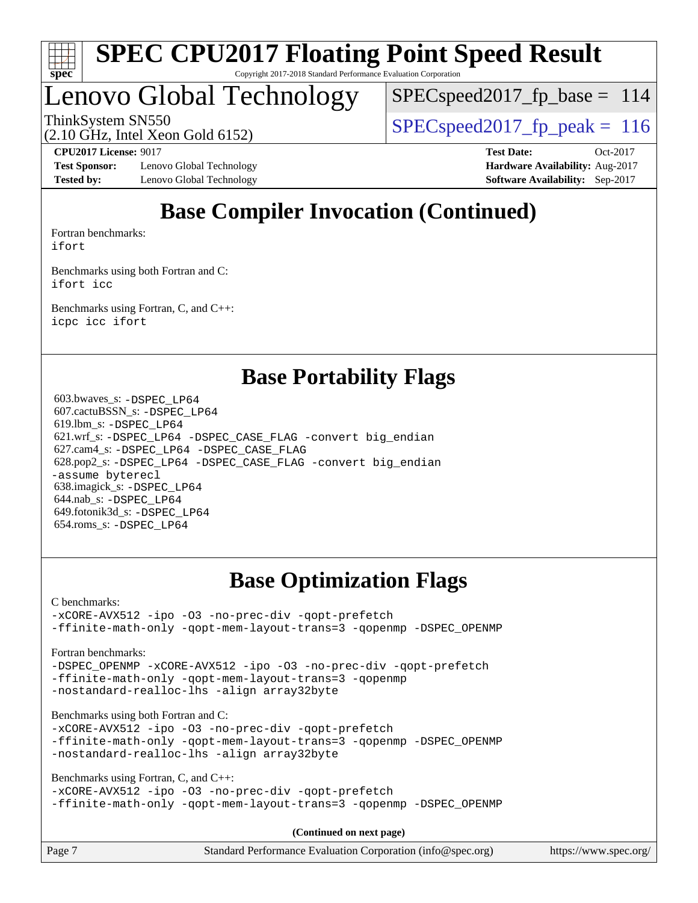

# Lenovo Global Technology

 $SPEC speed2017_fp\_base = 114$ 

ThinkSystem SN550  $SPEC speed2017$  fp\_peak = 116

(2.10 GHz, Intel Xeon Gold 6152)

**[Test Sponsor:](http://www.spec.org/auto/cpu2017/Docs/result-fields.html#TestSponsor)** Lenovo Global Technology **[Hardware Availability:](http://www.spec.org/auto/cpu2017/Docs/result-fields.html#HardwareAvailability)** Aug-2017 **[Tested by:](http://www.spec.org/auto/cpu2017/Docs/result-fields.html#Testedby)** Lenovo Global Technology **[Software Availability:](http://www.spec.org/auto/cpu2017/Docs/result-fields.html#SoftwareAvailability)** Sep-2017

**[CPU2017 License:](http://www.spec.org/auto/cpu2017/Docs/result-fields.html#CPU2017License)** 9017 **[Test Date:](http://www.spec.org/auto/cpu2017/Docs/result-fields.html#TestDate)** Oct-2017

# **[Base Compiler Invocation \(Continued\)](http://www.spec.org/auto/cpu2017/Docs/result-fields.html#BaseCompilerInvocation)**

[Fortran benchmarks](http://www.spec.org/auto/cpu2017/Docs/result-fields.html#Fortranbenchmarks): [ifort](http://www.spec.org/cpu2017/results/res2017q4/cpu2017-20171114-00685.flags.html#user_FCbase_intel_ifort_18.0_8111460550e3ca792625aed983ce982f94888b8b503583aa7ba2b8303487b4d8a21a13e7191a45c5fd58ff318f48f9492884d4413fa793fd88dd292cad7027ca)

[Benchmarks using both Fortran and C](http://www.spec.org/auto/cpu2017/Docs/result-fields.html#BenchmarksusingbothFortranandC): [ifort](http://www.spec.org/cpu2017/results/res2017q4/cpu2017-20171114-00685.flags.html#user_CC_FCbase_intel_ifort_18.0_8111460550e3ca792625aed983ce982f94888b8b503583aa7ba2b8303487b4d8a21a13e7191a45c5fd58ff318f48f9492884d4413fa793fd88dd292cad7027ca) [icc](http://www.spec.org/cpu2017/results/res2017q4/cpu2017-20171114-00685.flags.html#user_CC_FCbase_intel_icc_18.0_66fc1ee009f7361af1fbd72ca7dcefbb700085f36577c54f309893dd4ec40d12360134090235512931783d35fd58c0460139e722d5067c5574d8eaf2b3e37e92)

[Benchmarks using Fortran, C, and C++:](http://www.spec.org/auto/cpu2017/Docs/result-fields.html#BenchmarksusingFortranCandCXX) [icpc](http://www.spec.org/cpu2017/results/res2017q4/cpu2017-20171114-00685.flags.html#user_CC_CXX_FCbase_intel_icpc_18.0_c510b6838c7f56d33e37e94d029a35b4a7bccf4766a728ee175e80a419847e808290a9b78be685c44ab727ea267ec2f070ec5dc83b407c0218cded6866a35d07) [icc](http://www.spec.org/cpu2017/results/res2017q4/cpu2017-20171114-00685.flags.html#user_CC_CXX_FCbase_intel_icc_18.0_66fc1ee009f7361af1fbd72ca7dcefbb700085f36577c54f309893dd4ec40d12360134090235512931783d35fd58c0460139e722d5067c5574d8eaf2b3e37e92) [ifort](http://www.spec.org/cpu2017/results/res2017q4/cpu2017-20171114-00685.flags.html#user_CC_CXX_FCbase_intel_ifort_18.0_8111460550e3ca792625aed983ce982f94888b8b503583aa7ba2b8303487b4d8a21a13e7191a45c5fd58ff318f48f9492884d4413fa793fd88dd292cad7027ca)

## **[Base Portability Flags](http://www.spec.org/auto/cpu2017/Docs/result-fields.html#BasePortabilityFlags)**

 603.bwaves\_s: [-DSPEC\\_LP64](http://www.spec.org/cpu2017/results/res2017q4/cpu2017-20171114-00685.flags.html#suite_basePORTABILITY603_bwaves_s_DSPEC_LP64) 607.cactuBSSN\_s: [-DSPEC\\_LP64](http://www.spec.org/cpu2017/results/res2017q4/cpu2017-20171114-00685.flags.html#suite_basePORTABILITY607_cactuBSSN_s_DSPEC_LP64) 619.lbm\_s: [-DSPEC\\_LP64](http://www.spec.org/cpu2017/results/res2017q4/cpu2017-20171114-00685.flags.html#suite_basePORTABILITY619_lbm_s_DSPEC_LP64) 621.wrf\_s: [-DSPEC\\_LP64](http://www.spec.org/cpu2017/results/res2017q4/cpu2017-20171114-00685.flags.html#suite_basePORTABILITY621_wrf_s_DSPEC_LP64) [-DSPEC\\_CASE\\_FLAG](http://www.spec.org/cpu2017/results/res2017q4/cpu2017-20171114-00685.flags.html#b621.wrf_s_baseCPORTABILITY_DSPEC_CASE_FLAG) [-convert big\\_endian](http://www.spec.org/cpu2017/results/res2017q4/cpu2017-20171114-00685.flags.html#user_baseFPORTABILITY621_wrf_s_convert_big_endian_c3194028bc08c63ac5d04de18c48ce6d347e4e562e8892b8bdbdc0214820426deb8554edfa529a3fb25a586e65a3d812c835984020483e7e73212c4d31a38223) 627.cam4\_s: [-DSPEC\\_LP64](http://www.spec.org/cpu2017/results/res2017q4/cpu2017-20171114-00685.flags.html#suite_basePORTABILITY627_cam4_s_DSPEC_LP64) [-DSPEC\\_CASE\\_FLAG](http://www.spec.org/cpu2017/results/res2017q4/cpu2017-20171114-00685.flags.html#b627.cam4_s_baseCPORTABILITY_DSPEC_CASE_FLAG) 628.pop2\_s: [-DSPEC\\_LP64](http://www.spec.org/cpu2017/results/res2017q4/cpu2017-20171114-00685.flags.html#suite_basePORTABILITY628_pop2_s_DSPEC_LP64) [-DSPEC\\_CASE\\_FLAG](http://www.spec.org/cpu2017/results/res2017q4/cpu2017-20171114-00685.flags.html#b628.pop2_s_baseCPORTABILITY_DSPEC_CASE_FLAG) [-convert big\\_endian](http://www.spec.org/cpu2017/results/res2017q4/cpu2017-20171114-00685.flags.html#user_baseFPORTABILITY628_pop2_s_convert_big_endian_c3194028bc08c63ac5d04de18c48ce6d347e4e562e8892b8bdbdc0214820426deb8554edfa529a3fb25a586e65a3d812c835984020483e7e73212c4d31a38223) [-assume byterecl](http://www.spec.org/cpu2017/results/res2017q4/cpu2017-20171114-00685.flags.html#user_baseFPORTABILITY628_pop2_s_assume_byterecl_7e47d18b9513cf18525430bbf0f2177aa9bf368bc7a059c09b2c06a34b53bd3447c950d3f8d6c70e3faf3a05c8557d66a5798b567902e8849adc142926523472) 638.imagick\_s: [-DSPEC\\_LP64](http://www.spec.org/cpu2017/results/res2017q4/cpu2017-20171114-00685.flags.html#suite_basePORTABILITY638_imagick_s_DSPEC_LP64) 644.nab\_s: [-DSPEC\\_LP64](http://www.spec.org/cpu2017/results/res2017q4/cpu2017-20171114-00685.flags.html#suite_basePORTABILITY644_nab_s_DSPEC_LP64) 649.fotonik3d\_s: [-DSPEC\\_LP64](http://www.spec.org/cpu2017/results/res2017q4/cpu2017-20171114-00685.flags.html#suite_basePORTABILITY649_fotonik3d_s_DSPEC_LP64) 654.roms\_s: [-DSPEC\\_LP64](http://www.spec.org/cpu2017/results/res2017q4/cpu2017-20171114-00685.flags.html#suite_basePORTABILITY654_roms_s_DSPEC_LP64)

# **[Base Optimization Flags](http://www.spec.org/auto/cpu2017/Docs/result-fields.html#BaseOptimizationFlags)**

[C benchmarks](http://www.spec.org/auto/cpu2017/Docs/result-fields.html#Cbenchmarks):

[-xCORE-AVX512](http://www.spec.org/cpu2017/results/res2017q4/cpu2017-20171114-00685.flags.html#user_CCbase_f-xCORE-AVX512) [-ipo](http://www.spec.org/cpu2017/results/res2017q4/cpu2017-20171114-00685.flags.html#user_CCbase_f-ipo) [-O3](http://www.spec.org/cpu2017/results/res2017q4/cpu2017-20171114-00685.flags.html#user_CCbase_f-O3) [-no-prec-div](http://www.spec.org/cpu2017/results/res2017q4/cpu2017-20171114-00685.flags.html#user_CCbase_f-no-prec-div) [-qopt-prefetch](http://www.spec.org/cpu2017/results/res2017q4/cpu2017-20171114-00685.flags.html#user_CCbase_f-qopt-prefetch) [-ffinite-math-only](http://www.spec.org/cpu2017/results/res2017q4/cpu2017-20171114-00685.flags.html#user_CCbase_f_finite_math_only_cb91587bd2077682c4b38af759c288ed7c732db004271a9512da14a4f8007909a5f1427ecbf1a0fb78ff2a814402c6114ac565ca162485bbcae155b5e4258871) [-qopt-mem-layout-trans=3](http://www.spec.org/cpu2017/results/res2017q4/cpu2017-20171114-00685.flags.html#user_CCbase_f-qopt-mem-layout-trans_de80db37974c74b1f0e20d883f0b675c88c3b01e9d123adea9b28688d64333345fb62bc4a798493513fdb68f60282f9a726aa07f478b2f7113531aecce732043) [-qopenmp](http://www.spec.org/cpu2017/results/res2017q4/cpu2017-20171114-00685.flags.html#user_CCbase_qopenmp_16be0c44f24f464004c6784a7acb94aca937f053568ce72f94b139a11c7c168634a55f6653758ddd83bcf7b8463e8028bb0b48b77bcddc6b78d5d95bb1df2967) [-DSPEC\\_OPENMP](http://www.spec.org/cpu2017/results/res2017q4/cpu2017-20171114-00685.flags.html#suite_CCbase_DSPEC_OPENMP)

[Fortran benchmarks](http://www.spec.org/auto/cpu2017/Docs/result-fields.html#Fortranbenchmarks):

[-DSPEC\\_OPENMP](http://www.spec.org/cpu2017/results/res2017q4/cpu2017-20171114-00685.flags.html#suite_FCbase_DSPEC_OPENMP) [-xCORE-AVX512](http://www.spec.org/cpu2017/results/res2017q4/cpu2017-20171114-00685.flags.html#user_FCbase_f-xCORE-AVX512) [-ipo](http://www.spec.org/cpu2017/results/res2017q4/cpu2017-20171114-00685.flags.html#user_FCbase_f-ipo) [-O3](http://www.spec.org/cpu2017/results/res2017q4/cpu2017-20171114-00685.flags.html#user_FCbase_f-O3) [-no-prec-div](http://www.spec.org/cpu2017/results/res2017q4/cpu2017-20171114-00685.flags.html#user_FCbase_f-no-prec-div) [-qopt-prefetch](http://www.spec.org/cpu2017/results/res2017q4/cpu2017-20171114-00685.flags.html#user_FCbase_f-qopt-prefetch) [-ffinite-math-only](http://www.spec.org/cpu2017/results/res2017q4/cpu2017-20171114-00685.flags.html#user_FCbase_f_finite_math_only_cb91587bd2077682c4b38af759c288ed7c732db004271a9512da14a4f8007909a5f1427ecbf1a0fb78ff2a814402c6114ac565ca162485bbcae155b5e4258871) [-qopt-mem-layout-trans=3](http://www.spec.org/cpu2017/results/res2017q4/cpu2017-20171114-00685.flags.html#user_FCbase_f-qopt-mem-layout-trans_de80db37974c74b1f0e20d883f0b675c88c3b01e9d123adea9b28688d64333345fb62bc4a798493513fdb68f60282f9a726aa07f478b2f7113531aecce732043) [-qopenmp](http://www.spec.org/cpu2017/results/res2017q4/cpu2017-20171114-00685.flags.html#user_FCbase_qopenmp_16be0c44f24f464004c6784a7acb94aca937f053568ce72f94b139a11c7c168634a55f6653758ddd83bcf7b8463e8028bb0b48b77bcddc6b78d5d95bb1df2967) [-nostandard-realloc-lhs](http://www.spec.org/cpu2017/results/res2017q4/cpu2017-20171114-00685.flags.html#user_FCbase_f_2003_std_realloc_82b4557e90729c0f113870c07e44d33d6f5a304b4f63d4c15d2d0f1fab99f5daaed73bdb9275d9ae411527f28b936061aa8b9c8f2d63842963b95c9dd6426b8a) [-align array32byte](http://www.spec.org/cpu2017/results/res2017q4/cpu2017-20171114-00685.flags.html#user_FCbase_align_array32byte_b982fe038af199962ba9a80c053b8342c548c85b40b8e86eb3cc33dee0d7986a4af373ac2d51c3f7cf710a18d62fdce2948f201cd044323541f22fc0fffc51b6)

[Benchmarks using both Fortran and C](http://www.spec.org/auto/cpu2017/Docs/result-fields.html#BenchmarksusingbothFortranandC):

[-xCORE-AVX512](http://www.spec.org/cpu2017/results/res2017q4/cpu2017-20171114-00685.flags.html#user_CC_FCbase_f-xCORE-AVX512) [-ipo](http://www.spec.org/cpu2017/results/res2017q4/cpu2017-20171114-00685.flags.html#user_CC_FCbase_f-ipo) [-O3](http://www.spec.org/cpu2017/results/res2017q4/cpu2017-20171114-00685.flags.html#user_CC_FCbase_f-O3) [-no-prec-div](http://www.spec.org/cpu2017/results/res2017q4/cpu2017-20171114-00685.flags.html#user_CC_FCbase_f-no-prec-div) [-qopt-prefetch](http://www.spec.org/cpu2017/results/res2017q4/cpu2017-20171114-00685.flags.html#user_CC_FCbase_f-qopt-prefetch) [-ffinite-math-only](http://www.spec.org/cpu2017/results/res2017q4/cpu2017-20171114-00685.flags.html#user_CC_FCbase_f_finite_math_only_cb91587bd2077682c4b38af759c288ed7c732db004271a9512da14a4f8007909a5f1427ecbf1a0fb78ff2a814402c6114ac565ca162485bbcae155b5e4258871) [-qopt-mem-layout-trans=3](http://www.spec.org/cpu2017/results/res2017q4/cpu2017-20171114-00685.flags.html#user_CC_FCbase_f-qopt-mem-layout-trans_de80db37974c74b1f0e20d883f0b675c88c3b01e9d123adea9b28688d64333345fb62bc4a798493513fdb68f60282f9a726aa07f478b2f7113531aecce732043) [-qopenmp](http://www.spec.org/cpu2017/results/res2017q4/cpu2017-20171114-00685.flags.html#user_CC_FCbase_qopenmp_16be0c44f24f464004c6784a7acb94aca937f053568ce72f94b139a11c7c168634a55f6653758ddd83bcf7b8463e8028bb0b48b77bcddc6b78d5d95bb1df2967) [-DSPEC\\_OPENMP](http://www.spec.org/cpu2017/results/res2017q4/cpu2017-20171114-00685.flags.html#suite_CC_FCbase_DSPEC_OPENMP) [-nostandard-realloc-lhs](http://www.spec.org/cpu2017/results/res2017q4/cpu2017-20171114-00685.flags.html#user_CC_FCbase_f_2003_std_realloc_82b4557e90729c0f113870c07e44d33d6f5a304b4f63d4c15d2d0f1fab99f5daaed73bdb9275d9ae411527f28b936061aa8b9c8f2d63842963b95c9dd6426b8a) [-align array32byte](http://www.spec.org/cpu2017/results/res2017q4/cpu2017-20171114-00685.flags.html#user_CC_FCbase_align_array32byte_b982fe038af199962ba9a80c053b8342c548c85b40b8e86eb3cc33dee0d7986a4af373ac2d51c3f7cf710a18d62fdce2948f201cd044323541f22fc0fffc51b6)

[Benchmarks using Fortran, C, and C++:](http://www.spec.org/auto/cpu2017/Docs/result-fields.html#BenchmarksusingFortranCandCXX)

```
-xCORE-AVX512 -ipo -O3 -no-prec-div -qopt-prefetch
-ffinite-math-only -qopt-mem-layout-trans=3 -qopenmp -DSPEC_OPENMP
```
**(Continued on next page)**

| Page 7 | Standard Performance Evaluation Corporation (info@spec.org) | https://www.spec.org/ |
|--------|-------------------------------------------------------------|-----------------------|
|--------|-------------------------------------------------------------|-----------------------|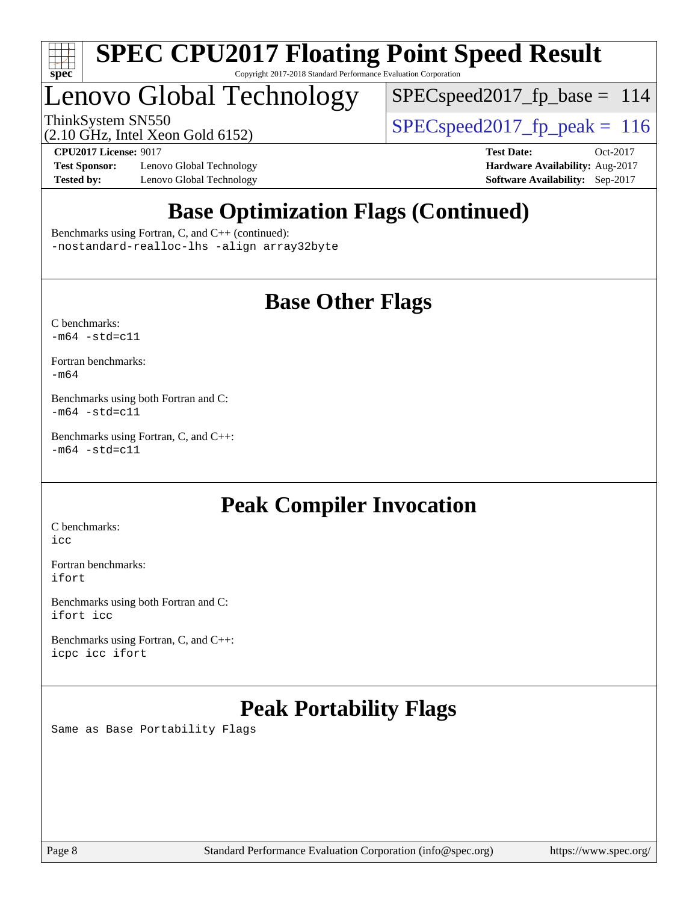

# Lenovo Global Technology

 $SPEC speed2017_fp\_base = 114$ 

ThinkSystem SN550<br>(2.10 GHz, Intel Year Gold 6152) [SPECspeed2017\\_fp\\_peak =](http://www.spec.org/auto/cpu2017/Docs/result-fields.html#SPECspeed2017fppeak) 116

(2.10 GHz, Intel Xeon Gold 6152)

**[Test Sponsor:](http://www.spec.org/auto/cpu2017/Docs/result-fields.html#TestSponsor)** Lenovo Global Technology **[Hardware Availability:](http://www.spec.org/auto/cpu2017/Docs/result-fields.html#HardwareAvailability)** Aug-2017 **[Tested by:](http://www.spec.org/auto/cpu2017/Docs/result-fields.html#Testedby)** Lenovo Global Technology **[Software Availability:](http://www.spec.org/auto/cpu2017/Docs/result-fields.html#SoftwareAvailability)** Sep-2017

**[CPU2017 License:](http://www.spec.org/auto/cpu2017/Docs/result-fields.html#CPU2017License)** 9017 **[Test Date:](http://www.spec.org/auto/cpu2017/Docs/result-fields.html#TestDate)** Oct-2017

# **[Base Optimization Flags \(Continued\)](http://www.spec.org/auto/cpu2017/Docs/result-fields.html#BaseOptimizationFlags)**

[Benchmarks using Fortran, C, and C++](http://www.spec.org/auto/cpu2017/Docs/result-fields.html#BenchmarksusingFortranCandCXX) (continued): [-nostandard-realloc-lhs](http://www.spec.org/cpu2017/results/res2017q4/cpu2017-20171114-00685.flags.html#user_CC_CXX_FCbase_f_2003_std_realloc_82b4557e90729c0f113870c07e44d33d6f5a304b4f63d4c15d2d0f1fab99f5daaed73bdb9275d9ae411527f28b936061aa8b9c8f2d63842963b95c9dd6426b8a) [-align array32byte](http://www.spec.org/cpu2017/results/res2017q4/cpu2017-20171114-00685.flags.html#user_CC_CXX_FCbase_align_array32byte_b982fe038af199962ba9a80c053b8342c548c85b40b8e86eb3cc33dee0d7986a4af373ac2d51c3f7cf710a18d62fdce2948f201cd044323541f22fc0fffc51b6)

## **[Base Other Flags](http://www.spec.org/auto/cpu2017/Docs/result-fields.html#BaseOtherFlags)**

[C benchmarks](http://www.spec.org/auto/cpu2017/Docs/result-fields.html#Cbenchmarks):  $-m64 - std= c11$  $-m64 - std= c11$ 

[Fortran benchmarks](http://www.spec.org/auto/cpu2017/Docs/result-fields.html#Fortranbenchmarks): [-m64](http://www.spec.org/cpu2017/results/res2017q4/cpu2017-20171114-00685.flags.html#user_FCbase_intel_intel64_18.0_af43caccfc8ded86e7699f2159af6efc7655f51387b94da716254467f3c01020a5059329e2569e4053f409e7c9202a7efc638f7a6d1ffb3f52dea4a3e31d82ab)

[Benchmarks using both Fortran and C](http://www.spec.org/auto/cpu2017/Docs/result-fields.html#BenchmarksusingbothFortranandC):  $-m64 - std = c11$  $-m64 - std = c11$ 

[Benchmarks using Fortran, C, and C++:](http://www.spec.org/auto/cpu2017/Docs/result-fields.html#BenchmarksusingFortranCandCXX)  $-m64 - std = c11$  $-m64 - std = c11$ 

## **[Peak Compiler Invocation](http://www.spec.org/auto/cpu2017/Docs/result-fields.html#PeakCompilerInvocation)**

[C benchmarks](http://www.spec.org/auto/cpu2017/Docs/result-fields.html#Cbenchmarks): [icc](http://www.spec.org/cpu2017/results/res2017q4/cpu2017-20171114-00685.flags.html#user_CCpeak_intel_icc_18.0_66fc1ee009f7361af1fbd72ca7dcefbb700085f36577c54f309893dd4ec40d12360134090235512931783d35fd58c0460139e722d5067c5574d8eaf2b3e37e92)

[Fortran benchmarks](http://www.spec.org/auto/cpu2017/Docs/result-fields.html#Fortranbenchmarks): [ifort](http://www.spec.org/cpu2017/results/res2017q4/cpu2017-20171114-00685.flags.html#user_FCpeak_intel_ifort_18.0_8111460550e3ca792625aed983ce982f94888b8b503583aa7ba2b8303487b4d8a21a13e7191a45c5fd58ff318f48f9492884d4413fa793fd88dd292cad7027ca)

[Benchmarks using both Fortran and C](http://www.spec.org/auto/cpu2017/Docs/result-fields.html#BenchmarksusingbothFortranandC): [ifort](http://www.spec.org/cpu2017/results/res2017q4/cpu2017-20171114-00685.flags.html#user_CC_FCpeak_intel_ifort_18.0_8111460550e3ca792625aed983ce982f94888b8b503583aa7ba2b8303487b4d8a21a13e7191a45c5fd58ff318f48f9492884d4413fa793fd88dd292cad7027ca) [icc](http://www.spec.org/cpu2017/results/res2017q4/cpu2017-20171114-00685.flags.html#user_CC_FCpeak_intel_icc_18.0_66fc1ee009f7361af1fbd72ca7dcefbb700085f36577c54f309893dd4ec40d12360134090235512931783d35fd58c0460139e722d5067c5574d8eaf2b3e37e92)

[Benchmarks using Fortran, C, and C++:](http://www.spec.org/auto/cpu2017/Docs/result-fields.html#BenchmarksusingFortranCandCXX) [icpc](http://www.spec.org/cpu2017/results/res2017q4/cpu2017-20171114-00685.flags.html#user_CC_CXX_FCpeak_intel_icpc_18.0_c510b6838c7f56d33e37e94d029a35b4a7bccf4766a728ee175e80a419847e808290a9b78be685c44ab727ea267ec2f070ec5dc83b407c0218cded6866a35d07) [icc](http://www.spec.org/cpu2017/results/res2017q4/cpu2017-20171114-00685.flags.html#user_CC_CXX_FCpeak_intel_icc_18.0_66fc1ee009f7361af1fbd72ca7dcefbb700085f36577c54f309893dd4ec40d12360134090235512931783d35fd58c0460139e722d5067c5574d8eaf2b3e37e92) [ifort](http://www.spec.org/cpu2017/results/res2017q4/cpu2017-20171114-00685.flags.html#user_CC_CXX_FCpeak_intel_ifort_18.0_8111460550e3ca792625aed983ce982f94888b8b503583aa7ba2b8303487b4d8a21a13e7191a45c5fd58ff318f48f9492884d4413fa793fd88dd292cad7027ca)

# **[Peak Portability Flags](http://www.spec.org/auto/cpu2017/Docs/result-fields.html#PeakPortabilityFlags)**

Same as Base Portability Flags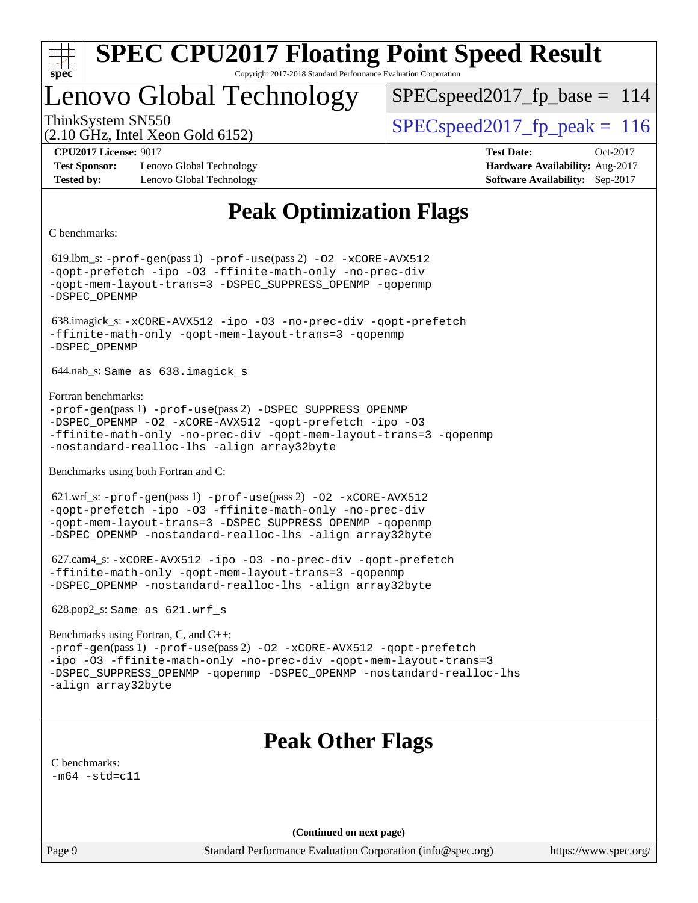

# Lenovo Global Technology

SPECspeed2017 fp base =  $114$ 

(2.10 GHz, Intel Xeon Gold 6152)

ThinkSystem SN550  $SPEC speed2017$  fp\_peak = 116

**[Test Sponsor:](http://www.spec.org/auto/cpu2017/Docs/result-fields.html#TestSponsor)** Lenovo Global Technology **[Hardware Availability:](http://www.spec.org/auto/cpu2017/Docs/result-fields.html#HardwareAvailability)** Aug-2017 **[Tested by:](http://www.spec.org/auto/cpu2017/Docs/result-fields.html#Testedby)** Lenovo Global Technology **[Software Availability:](http://www.spec.org/auto/cpu2017/Docs/result-fields.html#SoftwareAvailability)** Sep-2017

**[CPU2017 License:](http://www.spec.org/auto/cpu2017/Docs/result-fields.html#CPU2017License)** 9017 **[Test Date:](http://www.spec.org/auto/cpu2017/Docs/result-fields.html#TestDate)** Oct-2017

# **[Peak Optimization Flags](http://www.spec.org/auto/cpu2017/Docs/result-fields.html#PeakOptimizationFlags)**

[C benchmarks](http://www.spec.org/auto/cpu2017/Docs/result-fields.html#Cbenchmarks):

 619.lbm\_s: [-prof-gen](http://www.spec.org/cpu2017/results/res2017q4/cpu2017-20171114-00685.flags.html#user_peakPASS1_CFLAGSPASS1_LDFLAGS619_lbm_s_prof_gen_5aa4926d6013ddb2a31985c654b3eb18169fc0c6952a63635c234f711e6e63dd76e94ad52365559451ec499a2cdb89e4dc58ba4c67ef54ca681ffbe1461d6b36)(pass 1) [-prof-use](http://www.spec.org/cpu2017/results/res2017q4/cpu2017-20171114-00685.flags.html#user_peakPASS2_CFLAGSPASS2_LDFLAGS619_lbm_s_prof_use_1a21ceae95f36a2b53c25747139a6c16ca95bd9def2a207b4f0849963b97e94f5260e30a0c64f4bb623698870e679ca08317ef8150905d41bd88c6f78df73f19)(pass 2) [-O2](http://www.spec.org/cpu2017/results/res2017q4/cpu2017-20171114-00685.flags.html#user_peakPASS1_COPTIMIZE619_lbm_s_f-O2) [-xCORE-AVX512](http://www.spec.org/cpu2017/results/res2017q4/cpu2017-20171114-00685.flags.html#user_peakPASS2_COPTIMIZE619_lbm_s_f-xCORE-AVX512) [-qopt-prefetch](http://www.spec.org/cpu2017/results/res2017q4/cpu2017-20171114-00685.flags.html#user_peakPASS1_COPTIMIZEPASS2_COPTIMIZE619_lbm_s_f-qopt-prefetch) [-ipo](http://www.spec.org/cpu2017/results/res2017q4/cpu2017-20171114-00685.flags.html#user_peakPASS2_COPTIMIZE619_lbm_s_f-ipo) [-O3](http://www.spec.org/cpu2017/results/res2017q4/cpu2017-20171114-00685.flags.html#user_peakPASS2_COPTIMIZE619_lbm_s_f-O3) [-ffinite-math-only](http://www.spec.org/cpu2017/results/res2017q4/cpu2017-20171114-00685.flags.html#user_peakPASS1_COPTIMIZEPASS2_COPTIMIZE619_lbm_s_f_finite_math_only_cb91587bd2077682c4b38af759c288ed7c732db004271a9512da14a4f8007909a5f1427ecbf1a0fb78ff2a814402c6114ac565ca162485bbcae155b5e4258871) [-no-prec-div](http://www.spec.org/cpu2017/results/res2017q4/cpu2017-20171114-00685.flags.html#user_peakPASS2_COPTIMIZE619_lbm_s_f-no-prec-div) [-qopt-mem-layout-trans=3](http://www.spec.org/cpu2017/results/res2017q4/cpu2017-20171114-00685.flags.html#user_peakPASS1_COPTIMIZEPASS2_COPTIMIZE619_lbm_s_f-qopt-mem-layout-trans_de80db37974c74b1f0e20d883f0b675c88c3b01e9d123adea9b28688d64333345fb62bc4a798493513fdb68f60282f9a726aa07f478b2f7113531aecce732043) [-DSPEC\\_SUPPRESS\\_OPENMP](http://www.spec.org/cpu2017/results/res2017q4/cpu2017-20171114-00685.flags.html#suite_peakPASS1_COPTIMIZE619_lbm_s_DSPEC_SUPPRESS_OPENMP) [-qopenmp](http://www.spec.org/cpu2017/results/res2017q4/cpu2017-20171114-00685.flags.html#user_peakPASS2_COPTIMIZE619_lbm_s_qopenmp_16be0c44f24f464004c6784a7acb94aca937f053568ce72f94b139a11c7c168634a55f6653758ddd83bcf7b8463e8028bb0b48b77bcddc6b78d5d95bb1df2967) [-DSPEC\\_OPENMP](http://www.spec.org/cpu2017/results/res2017q4/cpu2017-20171114-00685.flags.html#suite_peakPASS2_COPTIMIZE619_lbm_s_DSPEC_OPENMP) 638.imagick\_s: [-xCORE-AVX512](http://www.spec.org/cpu2017/results/res2017q4/cpu2017-20171114-00685.flags.html#user_peakCOPTIMIZE638_imagick_s_f-xCORE-AVX512) [-ipo](http://www.spec.org/cpu2017/results/res2017q4/cpu2017-20171114-00685.flags.html#user_peakCOPTIMIZE638_imagick_s_f-ipo) [-O3](http://www.spec.org/cpu2017/results/res2017q4/cpu2017-20171114-00685.flags.html#user_peakCOPTIMIZE638_imagick_s_f-O3) [-no-prec-div](http://www.spec.org/cpu2017/results/res2017q4/cpu2017-20171114-00685.flags.html#user_peakCOPTIMIZE638_imagick_s_f-no-prec-div) [-qopt-prefetch](http://www.spec.org/cpu2017/results/res2017q4/cpu2017-20171114-00685.flags.html#user_peakCOPTIMIZE638_imagick_s_f-qopt-prefetch) [-ffinite-math-only](http://www.spec.org/cpu2017/results/res2017q4/cpu2017-20171114-00685.flags.html#user_peakCOPTIMIZE638_imagick_s_f_finite_math_only_cb91587bd2077682c4b38af759c288ed7c732db004271a9512da14a4f8007909a5f1427ecbf1a0fb78ff2a814402c6114ac565ca162485bbcae155b5e4258871) [-qopt-mem-layout-trans=3](http://www.spec.org/cpu2017/results/res2017q4/cpu2017-20171114-00685.flags.html#user_peakCOPTIMIZE638_imagick_s_f-qopt-mem-layout-trans_de80db37974c74b1f0e20d883f0b675c88c3b01e9d123adea9b28688d64333345fb62bc4a798493513fdb68f60282f9a726aa07f478b2f7113531aecce732043) [-qopenmp](http://www.spec.org/cpu2017/results/res2017q4/cpu2017-20171114-00685.flags.html#user_peakCOPTIMIZE638_imagick_s_qopenmp_16be0c44f24f464004c6784a7acb94aca937f053568ce72f94b139a11c7c168634a55f6653758ddd83bcf7b8463e8028bb0b48b77bcddc6b78d5d95bb1df2967) [-DSPEC\\_OPENMP](http://www.spec.org/cpu2017/results/res2017q4/cpu2017-20171114-00685.flags.html#suite_peakCOPTIMIZE638_imagick_s_DSPEC_OPENMP) 644.nab\_s: Same as 638.imagick\_s [Fortran benchmarks](http://www.spec.org/auto/cpu2017/Docs/result-fields.html#Fortranbenchmarks): [-prof-gen](http://www.spec.org/cpu2017/results/res2017q4/cpu2017-20171114-00685.flags.html#user_FCpeak_prof_gen_5aa4926d6013ddb2a31985c654b3eb18169fc0c6952a63635c234f711e6e63dd76e94ad52365559451ec499a2cdb89e4dc58ba4c67ef54ca681ffbe1461d6b36)(pass 1) [-prof-use](http://www.spec.org/cpu2017/results/res2017q4/cpu2017-20171114-00685.flags.html#user_FCpeak_prof_use_1a21ceae95f36a2b53c25747139a6c16ca95bd9def2a207b4f0849963b97e94f5260e30a0c64f4bb623698870e679ca08317ef8150905d41bd88c6f78df73f19)(pass 2) [-DSPEC\\_SUPPRESS\\_OPENMP](http://www.spec.org/cpu2017/results/res2017q4/cpu2017-20171114-00685.flags.html#suite_FCpeak_DSPEC_SUPPRESS_OPENMP) [-DSPEC\\_OPENMP](http://www.spec.org/cpu2017/results/res2017q4/cpu2017-20171114-00685.flags.html#suite_FCpeak_DSPEC_OPENMP) [-O2](http://www.spec.org/cpu2017/results/res2017q4/cpu2017-20171114-00685.flags.html#user_FCpeak_f-O2) [-xCORE-AVX512](http://www.spec.org/cpu2017/results/res2017q4/cpu2017-20171114-00685.flags.html#user_FCpeak_f-xCORE-AVX512) [-qopt-prefetch](http://www.spec.org/cpu2017/results/res2017q4/cpu2017-20171114-00685.flags.html#user_FCpeak_f-qopt-prefetch) [-ipo](http://www.spec.org/cpu2017/results/res2017q4/cpu2017-20171114-00685.flags.html#user_FCpeak_f-ipo) [-O3](http://www.spec.org/cpu2017/results/res2017q4/cpu2017-20171114-00685.flags.html#user_FCpeak_f-O3) [-ffinite-math-only](http://www.spec.org/cpu2017/results/res2017q4/cpu2017-20171114-00685.flags.html#user_FCpeak_f_finite_math_only_cb91587bd2077682c4b38af759c288ed7c732db004271a9512da14a4f8007909a5f1427ecbf1a0fb78ff2a814402c6114ac565ca162485bbcae155b5e4258871) [-no-prec-div](http://www.spec.org/cpu2017/results/res2017q4/cpu2017-20171114-00685.flags.html#user_FCpeak_f-no-prec-div) [-qopt-mem-layout-trans=3](http://www.spec.org/cpu2017/results/res2017q4/cpu2017-20171114-00685.flags.html#user_FCpeak_f-qopt-mem-layout-trans_de80db37974c74b1f0e20d883f0b675c88c3b01e9d123adea9b28688d64333345fb62bc4a798493513fdb68f60282f9a726aa07f478b2f7113531aecce732043) [-qopenmp](http://www.spec.org/cpu2017/results/res2017q4/cpu2017-20171114-00685.flags.html#user_FCpeak_qopenmp_16be0c44f24f464004c6784a7acb94aca937f053568ce72f94b139a11c7c168634a55f6653758ddd83bcf7b8463e8028bb0b48b77bcddc6b78d5d95bb1df2967) [-nostandard-realloc-lhs](http://www.spec.org/cpu2017/results/res2017q4/cpu2017-20171114-00685.flags.html#user_FCpeak_f_2003_std_realloc_82b4557e90729c0f113870c07e44d33d6f5a304b4f63d4c15d2d0f1fab99f5daaed73bdb9275d9ae411527f28b936061aa8b9c8f2d63842963b95c9dd6426b8a) [-align array32byte](http://www.spec.org/cpu2017/results/res2017q4/cpu2017-20171114-00685.flags.html#user_FCpeak_align_array32byte_b982fe038af199962ba9a80c053b8342c548c85b40b8e86eb3cc33dee0d7986a4af373ac2d51c3f7cf710a18d62fdce2948f201cd044323541f22fc0fffc51b6) [Benchmarks using both Fortran and C](http://www.spec.org/auto/cpu2017/Docs/result-fields.html#BenchmarksusingbothFortranandC): 621.wrf\_s: [-prof-gen](http://www.spec.org/cpu2017/results/res2017q4/cpu2017-20171114-00685.flags.html#user_peakPASS1_CFLAGSPASS1_FFLAGSPASS1_LDFLAGS621_wrf_s_prof_gen_5aa4926d6013ddb2a31985c654b3eb18169fc0c6952a63635c234f711e6e63dd76e94ad52365559451ec499a2cdb89e4dc58ba4c67ef54ca681ffbe1461d6b36)(pass 1) [-prof-use](http://www.spec.org/cpu2017/results/res2017q4/cpu2017-20171114-00685.flags.html#user_peakPASS2_CFLAGSPASS2_FFLAGSPASS2_LDFLAGS621_wrf_s_prof_use_1a21ceae95f36a2b53c25747139a6c16ca95bd9def2a207b4f0849963b97e94f5260e30a0c64f4bb623698870e679ca08317ef8150905d41bd88c6f78df73f19)(pass 2) [-O2](http://www.spec.org/cpu2017/results/res2017q4/cpu2017-20171114-00685.flags.html#user_peakPASS1_COPTIMIZEPASS1_FOPTIMIZE621_wrf_s_f-O2) [-xCORE-AVX512](http://www.spec.org/cpu2017/results/res2017q4/cpu2017-20171114-00685.flags.html#user_peakPASS2_COPTIMIZEPASS2_FOPTIMIZE621_wrf_s_f-xCORE-AVX512) [-qopt-prefetch](http://www.spec.org/cpu2017/results/res2017q4/cpu2017-20171114-00685.flags.html#user_peakPASS1_COPTIMIZEPASS1_FOPTIMIZEPASS2_COPTIMIZEPASS2_FOPTIMIZE621_wrf_s_f-qopt-prefetch) [-ipo](http://www.spec.org/cpu2017/results/res2017q4/cpu2017-20171114-00685.flags.html#user_peakPASS2_COPTIMIZEPASS2_FOPTIMIZE621_wrf_s_f-ipo) [-O3](http://www.spec.org/cpu2017/results/res2017q4/cpu2017-20171114-00685.flags.html#user_peakPASS2_COPTIMIZEPASS2_FOPTIMIZE621_wrf_s_f-O3) [-ffinite-math-only](http://www.spec.org/cpu2017/results/res2017q4/cpu2017-20171114-00685.flags.html#user_peakPASS1_COPTIMIZEPASS1_FOPTIMIZEPASS2_COPTIMIZEPASS2_FOPTIMIZE621_wrf_s_f_finite_math_only_cb91587bd2077682c4b38af759c288ed7c732db004271a9512da14a4f8007909a5f1427ecbf1a0fb78ff2a814402c6114ac565ca162485bbcae155b5e4258871) [-no-prec-div](http://www.spec.org/cpu2017/results/res2017q4/cpu2017-20171114-00685.flags.html#user_peakPASS2_COPTIMIZEPASS2_FOPTIMIZE621_wrf_s_f-no-prec-div) [-qopt-mem-layout-trans=3](http://www.spec.org/cpu2017/results/res2017q4/cpu2017-20171114-00685.flags.html#user_peakPASS1_COPTIMIZEPASS1_FOPTIMIZEPASS2_COPTIMIZEPASS2_FOPTIMIZE621_wrf_s_f-qopt-mem-layout-trans_de80db37974c74b1f0e20d883f0b675c88c3b01e9d123adea9b28688d64333345fb62bc4a798493513fdb68f60282f9a726aa07f478b2f7113531aecce732043) [-DSPEC\\_SUPPRESS\\_OPENMP](http://www.spec.org/cpu2017/results/res2017q4/cpu2017-20171114-00685.flags.html#suite_peakPASS1_COPTIMIZEPASS1_FOPTIMIZE621_wrf_s_DSPEC_SUPPRESS_OPENMP) [-qopenmp](http://www.spec.org/cpu2017/results/res2017q4/cpu2017-20171114-00685.flags.html#user_peakPASS2_COPTIMIZEPASS2_FOPTIMIZE621_wrf_s_qopenmp_16be0c44f24f464004c6784a7acb94aca937f053568ce72f94b139a11c7c168634a55f6653758ddd83bcf7b8463e8028bb0b48b77bcddc6b78d5d95bb1df2967) [-DSPEC\\_OPENMP](http://www.spec.org/cpu2017/results/res2017q4/cpu2017-20171114-00685.flags.html#suite_peakPASS2_COPTIMIZEPASS2_FOPTIMIZE621_wrf_s_DSPEC_OPENMP) [-nostandard-realloc-lhs](http://www.spec.org/cpu2017/results/res2017q4/cpu2017-20171114-00685.flags.html#user_peakEXTRA_FOPTIMIZE621_wrf_s_f_2003_std_realloc_82b4557e90729c0f113870c07e44d33d6f5a304b4f63d4c15d2d0f1fab99f5daaed73bdb9275d9ae411527f28b936061aa8b9c8f2d63842963b95c9dd6426b8a) [-align array32byte](http://www.spec.org/cpu2017/results/res2017q4/cpu2017-20171114-00685.flags.html#user_peakEXTRA_FOPTIMIZE621_wrf_s_align_array32byte_b982fe038af199962ba9a80c053b8342c548c85b40b8e86eb3cc33dee0d7986a4af373ac2d51c3f7cf710a18d62fdce2948f201cd044323541f22fc0fffc51b6) 627.cam4\_s: [-xCORE-AVX512](http://www.spec.org/cpu2017/results/res2017q4/cpu2017-20171114-00685.flags.html#user_peakCOPTIMIZEFOPTIMIZE627_cam4_s_f-xCORE-AVX512) [-ipo](http://www.spec.org/cpu2017/results/res2017q4/cpu2017-20171114-00685.flags.html#user_peakCOPTIMIZEFOPTIMIZE627_cam4_s_f-ipo) [-O3](http://www.spec.org/cpu2017/results/res2017q4/cpu2017-20171114-00685.flags.html#user_peakCOPTIMIZEFOPTIMIZE627_cam4_s_f-O3) [-no-prec-div](http://www.spec.org/cpu2017/results/res2017q4/cpu2017-20171114-00685.flags.html#user_peakCOPTIMIZEFOPTIMIZE627_cam4_s_f-no-prec-div) [-qopt-prefetch](http://www.spec.org/cpu2017/results/res2017q4/cpu2017-20171114-00685.flags.html#user_peakCOPTIMIZEFOPTIMIZE627_cam4_s_f-qopt-prefetch) [-ffinite-math-only](http://www.spec.org/cpu2017/results/res2017q4/cpu2017-20171114-00685.flags.html#user_peakCOPTIMIZEFOPTIMIZE627_cam4_s_f_finite_math_only_cb91587bd2077682c4b38af759c288ed7c732db004271a9512da14a4f8007909a5f1427ecbf1a0fb78ff2a814402c6114ac565ca162485bbcae155b5e4258871) [-qopt-mem-layout-trans=3](http://www.spec.org/cpu2017/results/res2017q4/cpu2017-20171114-00685.flags.html#user_peakCOPTIMIZEFOPTIMIZE627_cam4_s_f-qopt-mem-layout-trans_de80db37974c74b1f0e20d883f0b675c88c3b01e9d123adea9b28688d64333345fb62bc4a798493513fdb68f60282f9a726aa07f478b2f7113531aecce732043) [-qopenmp](http://www.spec.org/cpu2017/results/res2017q4/cpu2017-20171114-00685.flags.html#user_peakCOPTIMIZEFOPTIMIZE627_cam4_s_qopenmp_16be0c44f24f464004c6784a7acb94aca937f053568ce72f94b139a11c7c168634a55f6653758ddd83bcf7b8463e8028bb0b48b77bcddc6b78d5d95bb1df2967) [-DSPEC\\_OPENMP](http://www.spec.org/cpu2017/results/res2017q4/cpu2017-20171114-00685.flags.html#suite_peakCOPTIMIZEFOPTIMIZE627_cam4_s_DSPEC_OPENMP) [-nostandard-realloc-lhs](http://www.spec.org/cpu2017/results/res2017q4/cpu2017-20171114-00685.flags.html#user_peakEXTRA_FOPTIMIZE627_cam4_s_f_2003_std_realloc_82b4557e90729c0f113870c07e44d33d6f5a304b4f63d4c15d2d0f1fab99f5daaed73bdb9275d9ae411527f28b936061aa8b9c8f2d63842963b95c9dd6426b8a) [-align array32byte](http://www.spec.org/cpu2017/results/res2017q4/cpu2017-20171114-00685.flags.html#user_peakEXTRA_FOPTIMIZE627_cam4_s_align_array32byte_b982fe038af199962ba9a80c053b8342c548c85b40b8e86eb3cc33dee0d7986a4af373ac2d51c3f7cf710a18d62fdce2948f201cd044323541f22fc0fffc51b6) 628.pop2\_s: Same as 621.wrf\_s [Benchmarks using Fortran, C, and C++](http://www.spec.org/auto/cpu2017/Docs/result-fields.html#BenchmarksusingFortranCandCXX): [-prof-gen](http://www.spec.org/cpu2017/results/res2017q4/cpu2017-20171114-00685.flags.html#user_CC_CXX_FCpeak_prof_gen_5aa4926d6013ddb2a31985c654b3eb18169fc0c6952a63635c234f711e6e63dd76e94ad52365559451ec499a2cdb89e4dc58ba4c67ef54ca681ffbe1461d6b36)(pass 1) [-prof-use](http://www.spec.org/cpu2017/results/res2017q4/cpu2017-20171114-00685.flags.html#user_CC_CXX_FCpeak_prof_use_1a21ceae95f36a2b53c25747139a6c16ca95bd9def2a207b4f0849963b97e94f5260e30a0c64f4bb623698870e679ca08317ef8150905d41bd88c6f78df73f19)(pass 2) [-O2](http://www.spec.org/cpu2017/results/res2017q4/cpu2017-20171114-00685.flags.html#user_CC_CXX_FCpeak_f-O2) [-xCORE-AVX512](http://www.spec.org/cpu2017/results/res2017q4/cpu2017-20171114-00685.flags.html#user_CC_CXX_FCpeak_f-xCORE-AVX512) [-qopt-prefetch](http://www.spec.org/cpu2017/results/res2017q4/cpu2017-20171114-00685.flags.html#user_CC_CXX_FCpeak_f-qopt-prefetch) [-ipo](http://www.spec.org/cpu2017/results/res2017q4/cpu2017-20171114-00685.flags.html#user_CC_CXX_FCpeak_f-ipo) [-O3](http://www.spec.org/cpu2017/results/res2017q4/cpu2017-20171114-00685.flags.html#user_CC_CXX_FCpeak_f-O3) [-ffinite-math-only](http://www.spec.org/cpu2017/results/res2017q4/cpu2017-20171114-00685.flags.html#user_CC_CXX_FCpeak_f_finite_math_only_cb91587bd2077682c4b38af759c288ed7c732db004271a9512da14a4f8007909a5f1427ecbf1a0fb78ff2a814402c6114ac565ca162485bbcae155b5e4258871) [-no-prec-div](http://www.spec.org/cpu2017/results/res2017q4/cpu2017-20171114-00685.flags.html#user_CC_CXX_FCpeak_f-no-prec-div) [-qopt-mem-layout-trans=3](http://www.spec.org/cpu2017/results/res2017q4/cpu2017-20171114-00685.flags.html#user_CC_CXX_FCpeak_f-qopt-mem-layout-trans_de80db37974c74b1f0e20d883f0b675c88c3b01e9d123adea9b28688d64333345fb62bc4a798493513fdb68f60282f9a726aa07f478b2f7113531aecce732043) [-DSPEC\\_SUPPRESS\\_OPENMP](http://www.spec.org/cpu2017/results/res2017q4/cpu2017-20171114-00685.flags.html#suite_CC_CXX_FCpeak_DSPEC_SUPPRESS_OPENMP) [-qopenmp](http://www.spec.org/cpu2017/results/res2017q4/cpu2017-20171114-00685.flags.html#user_CC_CXX_FCpeak_qopenmp_16be0c44f24f464004c6784a7acb94aca937f053568ce72f94b139a11c7c168634a55f6653758ddd83bcf7b8463e8028bb0b48b77bcddc6b78d5d95bb1df2967) [-DSPEC\\_OPENMP](http://www.spec.org/cpu2017/results/res2017q4/cpu2017-20171114-00685.flags.html#suite_CC_CXX_FCpeak_DSPEC_OPENMP) [-nostandard-realloc-lhs](http://www.spec.org/cpu2017/results/res2017q4/cpu2017-20171114-00685.flags.html#user_CC_CXX_FCpeak_f_2003_std_realloc_82b4557e90729c0f113870c07e44d33d6f5a304b4f63d4c15d2d0f1fab99f5daaed73bdb9275d9ae411527f28b936061aa8b9c8f2d63842963b95c9dd6426b8a) [-align array32byte](http://www.spec.org/cpu2017/results/res2017q4/cpu2017-20171114-00685.flags.html#user_CC_CXX_FCpeak_align_array32byte_b982fe038af199962ba9a80c053b8342c548c85b40b8e86eb3cc33dee0d7986a4af373ac2d51c3f7cf710a18d62fdce2948f201cd044323541f22fc0fffc51b6) **[Peak Other Flags](http://www.spec.org/auto/cpu2017/Docs/result-fields.html#PeakOtherFlags)** [C benchmarks](http://www.spec.org/auto/cpu2017/Docs/result-fields.html#Cbenchmarks):  $-m64 - std= c11$  $-m64 - std= c11$ **(Continued on next page)**

Page 9 Standard Performance Evaluation Corporation [\(info@spec.org\)](mailto:info@spec.org) <https://www.spec.org/>